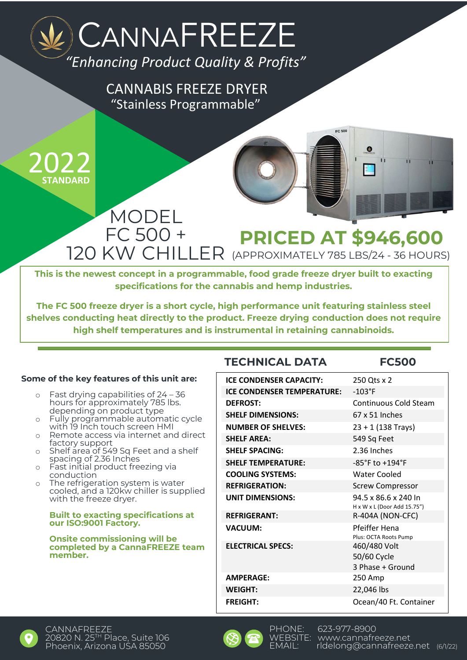### *"Enhancing Product Quality & Profits"* **CANNAFREEZE**

"Stainless Programmable" CANNABIS FREEZE DRYER



### MODEL FC 500 +<br>120 KW CHILLER **PRICED AT \$946,600** (APPROXIMATELY 785 LBS/24 - 36 HOURS)

**This is the newest concept in a programmable, food grade freeze dryer built to exacting specifications for the cannabis and hemp industries.**

**The FC 500 freeze dryer is a short cycle, high performance unit featuring stainless steel shelves conducting heat directly to the product. Freeze drying conduction does not require high shelf temperatures and is instrumental in retaining cannabinoids.**

### **Some of the key features of this unit are:**

- o Fast drying capabilities of 24 36 hours for approximately 785 lbs. depending on product type
- o Fully programmable automatic cycle with 19 Inch touch screen HMI
- Remote access via internet and direct factory support
- o Shelf area of 549 Sq Feet and a shelf spacing of 2.36 Inches
- o Fast initial product freezing via conduction
- o The refrigeration system is water cooled, and a 120kw chiller is supplied with the freeze dryer.

### **Built to exacting specifications at our ISO:9001 Factory.**

#### **Onsite commissioning will be completed by a CannaFREEZE team member.**

### **TECHNICAL DATA FC500**

| <b>ICE CONDENSER CAPACITY:</b>    | 250 Qts x 2                                         |
|-----------------------------------|-----------------------------------------------------|
| <b>ICE CONDENSER TEMPERATURE:</b> | $-103$ °F                                           |
| <b>DEFROST:</b>                   | Continuous Cold Steam                               |
| <b>SHELF DIMENSIONS:</b>          | $67 \times 51$ Inches                               |
| <b>NUMBER OF SHELVES:</b>         | $23 + 1$ (138 Trays)                                |
| <b>SHELF AREA:</b>                | 549 Sq Feet                                         |
| <b>SHELF SPACING:</b>             | 2.36 Inches                                         |
| <b>SHELF TEMPERATURE:</b>         | -85°F to +194°F                                     |
| <b>COOLING SYSTEMS:</b>           | <b>Water Cooled</b>                                 |
| <b>REFRIGERATION:</b>             | <b>Screw Compressor</b>                             |
| <b>UNIT DIMENSIONS:</b>           | 94.5 x 86.6 x 240 ln<br>H x W x L (Door Add 15.75") |
| <b>REFRIGERANT:</b>               | R-404A (NON-CFC)                                    |
| <b>VACUUM:</b>                    | Pfeiffer Hena<br>Plus: OCTA Roots Pump              |
| <b>ELECTRICAL SPECS:</b>          | 460/480 Volt<br>50/60 Cycle<br>3 Phase + Ground     |
| <b>AMPERAGE:</b>                  | 250 Amp                                             |
| <b>WEIGHT:</b>                    | 22,046 lbs                                          |
| <b>FREIGHT:</b>                   | Ocean/40 Ft. Container                              |

 $FC.500$